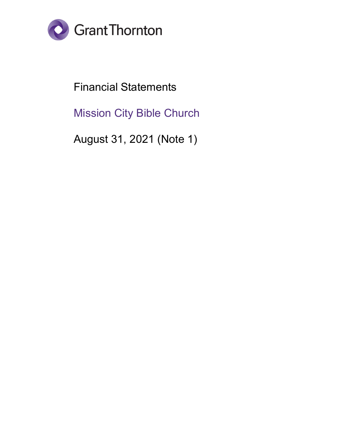

Financial Statements

Mission City Bible Church

August 31, 2021 (Note 1)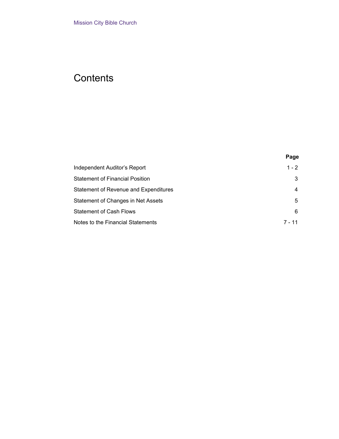# **Contents**

| Independent Auditor's Report                 | $1 - 2$ |
|----------------------------------------------|---------|
| <b>Statement of Financial Position</b>       | 3       |
| <b>Statement of Revenue and Expenditures</b> | 4       |
| Statement of Changes in Net Assets           | 5       |
| <b>Statement of Cash Flows</b>               | 6       |
| Notes to the Financial Statements            | 7 - 11  |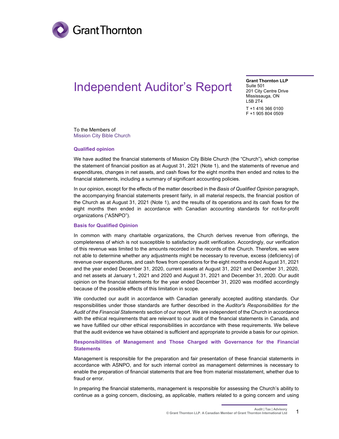

# Independent Auditor's Report

**Grant Thornton LLP**  Suite 501 201 City Centre Drive Mississauga, ON L5B 2T4 T +1 416 366 0100 F +1 905 804 0509

To the Members of Mission City Bible Church

#### **Qualified opinion**

We have audited the financial statements of Mission City Bible Church (the "Church"), which comprise the statement of financial position as at August 31, 2021 (Note 1), and the statements of revenue and expenditures, changes in net assets, and cash flows for the eight months then ended and notes to the financial statements, including a summary of significant accounting policies.

In our opinion, except for the effects of the matter described in the *Basis of Qualified Opinion* paragraph, the accompanying financial statements present fairly, in all material respects, the financial position of the Church as at August 31, 2021 (Note 1), and the results of its operations and its cash flows for the eight months then ended in accordance with Canadian accounting standards for not-for-profit organizations ("ASNPO").

#### **Basis for Qualified Opinion**

In common with many charitable organizations, the Church derives revenue from offerings, the completeness of which is not susceptible to satisfactory audit verification. Accordingly, our verification of this revenue was limited to the amounts recorded in the records of the Church. Therefore, we were not able to determine whether any adjustments might be necessary to revenue, excess (deficiency) of revenue over expenditures, and cash flows from operations for the eight months ended August 31, 2021 and the year ended December 31, 2020, current assets at August 31, 2021 and December 31, 2020, and net assets at January 1, 2021 and 2020 and August 31, 2021 and December 31, 2020. Our audit opinion on the financial statements for the year ended December 31, 2020 was modified accordingly because of the possible effects of this limitation in scope.

We conducted our audit in accordance with Canadian generally accepted auditing standards. Our responsibilities under those standards are further described in the *Auditor's Responsibilities for the Audit of the Financial Statements* section of our report. We are independent of the Church in accordance with the ethical requirements that are relevant to our audit of the financial statements in Canada, and we have fulfilled our other ethical responsibilities in accordance with these requirements. We believe that the audit evidence we have obtained is sufficient and appropriate to provide a basis for our opinion.

#### **Responsibilities of Management and Those Charged with Governance for the Financial Statements**

Management is responsible for the preparation and fair presentation of these financial statements in accordance with ASNPO, and for such internal control as management determines is necessary to enable the preparation of financial statements that are free from material misstatement, whether due to fraud or error.

In preparing the financial statements, management is responsible for assessing the Church's ability to continue as a going concern, disclosing, as applicable, matters related to a going concern and using

> **Audit | Tax | Advisory © Grant Thornton LLP. A Canadian Member of Grant Thornton International Ltd** 1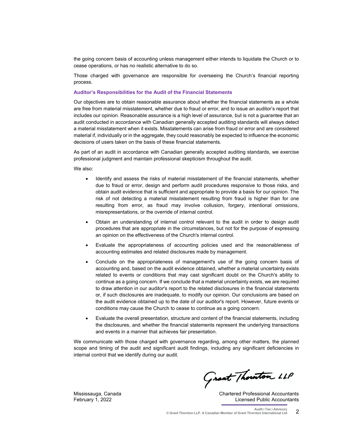the going concern basis of accounting unless management either intends to liquidate the Church or to cease operations, or has no realistic alternative to do so.

Those charged with governance are responsible for overseeing the Church's financial reporting process.

#### **Auditor's Responsibilities for the Audit of the Financial Statements**

Our objectives are to obtain reasonable assurance about whether the financial statements as a whole are free from material misstatement, whether due to fraud or error, and to issue an auditor's report that includes our opinion. Reasonable assurance is a high level of assurance, but is not a guarantee that an audit conducted in accordance with Canadian generally accepted auditing standards will always detect a material misstatement when it exists. Misstatements can arise from fraud or error and are considered material if, individually or in the aggregate, they could reasonably be expected to influence the economic decisions of users taken on the basis of these financial statements.

As part of an audit in accordance with Canadian generally accepted auditing standards, we exercise professional judgment and maintain professional skepticism throughout the audit.

We also:

- Identify and assess the risks of material misstatement of the financial statements, whether due to fraud or error, design and perform audit procedures responsive to those risks, and obtain audit evidence that is sufficient and appropriate to provide a basis for our opinion. The risk of not detecting a material misstatement resulting from fraud is higher than for one resulting from error, as fraud may involve collusion, forgery, intentional omissions, misrepresentations, or the override of internal control.
- Obtain an understanding of internal control relevant to the audit in order to design audit procedures that are appropriate in the circumstances, but not for the purpose of expressing an opinion on the effectiveness of the Church's internal control.
- Evaluate the appropriateness of accounting policies used and the reasonableness of accounting estimates and related disclosures made by management.
- Conclude on the appropriateness of management's use of the going concern basis of accounting and, based on the audit evidence obtained, whether a material uncertainty exists related to events or conditions that may cast significant doubt on the Church's ability to continue as a going concern. If we conclude that a material uncertainty exists, we are required to draw attention in our auditor's report to the related disclosures in the financial statements or, if such disclosures are inadequate, to modify our opinion. Our conclusions are based on the audit evidence obtained up to the date of our auditor's report. However, future events or conditions may cause the Church to cease to continue as a going concern.
- Evaluate the overall presentation, structure and content of the financial statements, including the disclosures, and whether the financial statements represent the underlying transactions and events in a manner that achieves fair presentation.

We communicate with those charged with governance regarding, among other matters, the planned scope and timing of the audit and significant audit findings, including any significant deficiencies in internal control that we identify during our audit.

Grant Thouton LLP

Mississauga, Canada Chartered Professional Accountants February 1, 2022 Licensed Public Accountants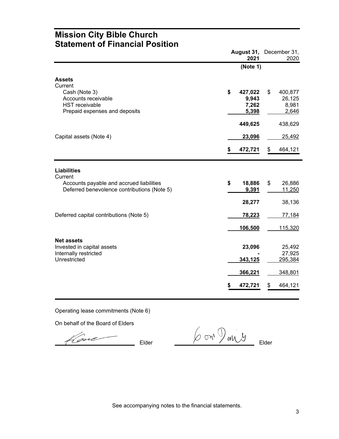# **Mission City Bible Church Statement of Financial Position**

|                                                                                                | August 31, December 31,<br>2021 |                                    |    | 2020                                |
|------------------------------------------------------------------------------------------------|---------------------------------|------------------------------------|----|-------------------------------------|
|                                                                                                |                                 | (Note 1)                           |    |                                     |
| <b>Assets</b><br>Current                                                                       |                                 |                                    |    |                                     |
| Cash (Note 3)<br>Accounts receivable<br><b>HST</b> receivable<br>Prepaid expenses and deposits | \$                              | 427,022<br>9,943<br>7,262<br>5,398 | \$ | 400,877<br>26,125<br>8,981<br>2,646 |
|                                                                                                |                                 | 449,625                            |    | 438,629                             |
| Capital assets (Note 4)                                                                        |                                 | 23,096                             |    | 25,492                              |
|                                                                                                | S                               | 472,721                            | \$ | 464,121                             |
| <b>Liabilities</b><br>Current                                                                  |                                 |                                    |    |                                     |
| Accounts payable and accrued liabilities<br>Deferred benevolence contributions (Note 5)        | \$                              | 18,886<br>9,391                    | \$ | 26,886<br>11,250                    |
|                                                                                                |                                 | 28,277                             |    | 38,136                              |
| Deferred capital contributions (Note 5)                                                        |                                 | 78,223                             |    | 77,184                              |
|                                                                                                |                                 | 106,500                            |    | 115,320                             |
| <b>Net assets</b><br>Invested in capital assets<br>Internally restricted                       |                                 | 23,096                             |    | 25,492<br>27,925                    |
| Unrestricted                                                                                   |                                 | 343,125<br>366,221                 |    | 295,384<br>348,801                  |
|                                                                                                |                                 | 472,721                            | \$ | 464,121                             |

Operating lease commitments (Note 6)

On behalf of the Board of Elders

Flood Elder  $\sqrt{00N}$  and  $\sqrt{2}$  Elder

See accompanying notes to the financial statements.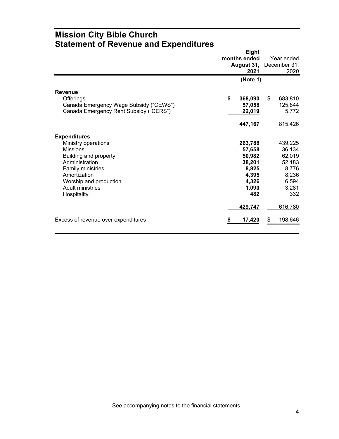| <b>Mission City Bible Church</b>             |
|----------------------------------------------|
| <b>Statement of Revenue and Expenditures</b> |

|                                                                                                                                                                                                            | <b>Eight</b><br>months ended<br>2021                                                        | Year ended<br>August 31, December 31,<br>2020                                               |  |  |
|------------------------------------------------------------------------------------------------------------------------------------------------------------------------------------------------------------|---------------------------------------------------------------------------------------------|---------------------------------------------------------------------------------------------|--|--|
|                                                                                                                                                                                                            | (Note 1)                                                                                    |                                                                                             |  |  |
| <b>Revenue</b><br>Offerings<br>Canada Emergency Wage Subsidy ("CEWS")                                                                                                                                      | \$<br>368,090<br>57,058                                                                     | \$<br>683,810<br>125,844                                                                    |  |  |
| Canada Emergency Rent Subsidy ("CERS")                                                                                                                                                                     | 22,019<br>447,167                                                                           | 5,772<br>815,426                                                                            |  |  |
| <b>Expenditures</b><br>Ministry operations<br><b>Missions</b><br>Building and property<br>Administration<br>Family ministries<br>Amortization<br>Worship and production<br>Adult ministries<br>Hospitality | 263,788<br>57,658<br>50,982<br>38,201<br>8,825<br>4,395<br>4,326<br>1,090<br>482<br>429,747 | 439,225<br>36,134<br>62,019<br>52,183<br>8,776<br>8,236<br>6,594<br>3,281<br>332<br>616,780 |  |  |
| Excess of revenue over expenditures                                                                                                                                                                        | 17,420<br>S                                                                                 | 198,646<br>S                                                                                |  |  |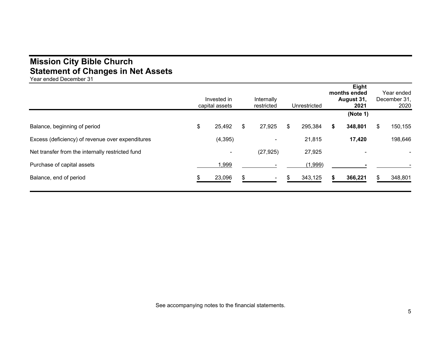# **Mission City Bible Church Statement of Changes in Net Assets**

Year ended December 31

|                                                  | Invested in<br>Internally<br>restricted<br>capital assets |                |    |           |    | Unrestricted |  | <b>Eight</b><br>months ended<br>August 31,<br>2021 |   |         | Year ended<br>December 31,<br>2020 |
|--------------------------------------------------|-----------------------------------------------------------|----------------|----|-----------|----|--------------|--|----------------------------------------------------|---|---------|------------------------------------|
|                                                  |                                                           |                |    |           |    |              |  | (Note 1)                                           |   |         |                                    |
| Balance, beginning of period                     | \$                                                        | 25,492         | \$ | 27,925    | \$ | 295,384      |  | 348,801                                            | S | 150,155 |                                    |
| Excess (deficiency) of revenue over expenditures |                                                           | (4,395)        |    |           |    | 21,815       |  | 17,420                                             |   | 198,646 |                                    |
| Net transfer from the internally restricted fund |                                                           | $\blacksquare$ |    | (27, 925) |    | 27,925       |  |                                                    |   |         |                                    |
| Purchase of capital assets                       |                                                           | 1,999          |    |           |    | (1,999)      |  |                                                    |   |         |                                    |
| Balance, end of period                           |                                                           | 23,096         | \$ |           | \$ | 343,125      |  | 366,221                                            |   | 348,801 |                                    |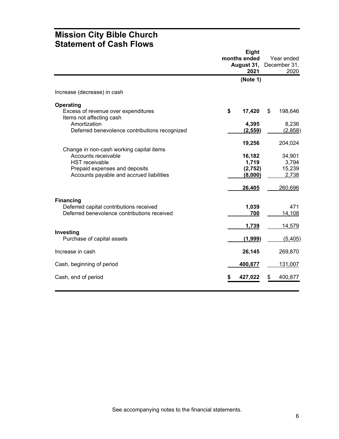# **Mission City Bible Church Statement of Cash Flows**

|                                                                                     | Eight<br>months ended<br>2021<br>(Note 1) |                            |    | Year ended<br>August 31, December 31,<br>2020 |  |  |
|-------------------------------------------------------------------------------------|-------------------------------------------|----------------------------|----|-----------------------------------------------|--|--|
| Increase (decrease) in cash                                                         |                                           |                            |    |                                               |  |  |
| <b>Operating</b><br>Excess of revenue over expenditures<br>Items not affecting cash | \$                                        | 17,420                     | \$ | 198,646                                       |  |  |
| Amortization<br>Deferred benevolence contributions recognized                       |                                           | 4,395<br>(2, 559)          |    | 8,236<br>(2,858)                              |  |  |
| Change in non-cash working capital items                                            |                                           | 19,256                     |    | 204,024                                       |  |  |
| Accounts receivable<br><b>HST</b> receivable<br>Prepaid expenses and deposits       |                                           | 16,182<br>1,719<br>(2,752) |    | 34,901<br>3,794<br>15,239                     |  |  |
| Accounts payable and accrued liabilities                                            |                                           | (8,000)                    |    | 2,738                                         |  |  |
| <b>Financing</b><br>Deferred capital contributions received                         |                                           | 26,405<br>1,039            |    | 260,696<br>471                                |  |  |
| Deferred benevolence contributions received                                         |                                           | 700                        |    | 14,108                                        |  |  |
| Investing<br>Purchase of capital assets                                             |                                           | 1,739<br>(1,999)           |    | 14,579<br>(5,405)                             |  |  |
| Increase in cash                                                                    |                                           | 26,145                     |    | 269,870                                       |  |  |
| Cash, beginning of period                                                           |                                           | 400,877                    |    | 131,007                                       |  |  |
| Cash, end of period                                                                 |                                           | 427,022                    |    | 400,877                                       |  |  |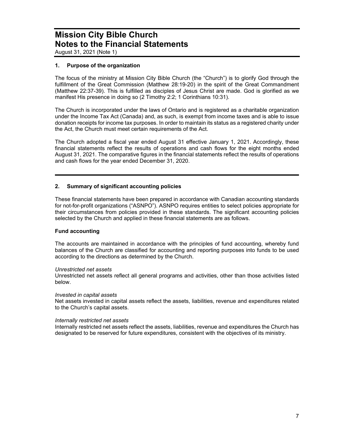August 31, 2021 (Note 1)

### **1. Purpose of the organization**

The focus of the ministry at Mission City Bible Church (the "Church") is to glorify God through the fulfillment of the Great Commission (Matthew 28:19-20) in the spirit of the Great Commandment (Matthew 22:37-39). This is fulfilled as disciples of Jesus Christ are made. God is glorified as we manifest His presence in doing so (2 Timothy 2:2; 1 Corinthians 10:31).

The Church is incorporated under the laws of Ontario and is registered as a charitable organization under the Income Tax Act (Canada) and, as such, is exempt from income taxes and is able to issue donation receipts for income tax purposes. In order to maintain its status as a registered charity under the Act, the Church must meet certain requirements of the Act.

The Church adopted a fiscal year ended August 31 effective January 1, 2021. Accordingly, these financial statements reflect the results of operations and cash flows for the eight months ended August 31, 2021. The comparative figures in the financial statements reflect the results of operations and cash flows for the year ended December 31, 2020.

### **2. Summary of significant accounting policies**

These financial statements have been prepared in accordance with Canadian accounting standards for not-for-profit organizations ("ASNPO"). ASNPO requires entities to select policies appropriate for their circumstances from policies provided in these standards. The significant accounting policies selected by the Church and applied in these financial statements are as follows.

#### **Fund accounting**

The accounts are maintained in accordance with the principles of fund accounting, whereby fund balances of the Church are classified for accounting and reporting purposes into funds to be used according to the directions as determined by the Church.

#### *Unrestricted net assets*

Unrestricted net assets reflect all general programs and activities, other than those activities listed below.

#### *Invested in capital assets*

Net assets invested in capital assets reflect the assets, liabilities, revenue and expenditures related to the Church's capital assets.

#### *Internally restricted net assets*

Internally restricted net assets reflect the assets, liabilities, revenue and expenditures the Church has designated to be reserved for future expenditures, consistent with the objectives of its ministry.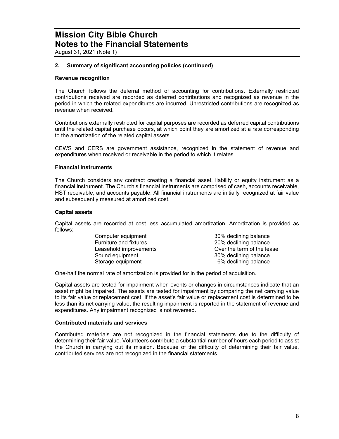August 31, 2021 (Note 1)

### **2. Summary of significant accounting policies (continued)**

#### **Revenue recognition**

The Church follows the deferral method of accounting for contributions. Externally restricted contributions received are recorded as deferred contributions and recognized as revenue in the period in which the related expenditures are incurred. Unrestricted contributions are recognized as revenue when received.

Contributions externally restricted for capital purposes are recorded as deferred capital contributions until the related capital purchase occurs, at which point they are amortized at a rate corresponding to the amortization of the related capital assets.

CEWS and CERS are government assistance, recognized in the statement of revenue and expenditures when received or receivable in the period to which it relates.

#### **Financial instruments**

The Church considers any contract creating a financial asset, liability or equity instrument as a financial instrument. The Church's financial instruments are comprised of cash, accounts receivable, HST receivable, and accounts payable. All financial instruments are initially recognized at fair value and subsequently measured at amortized cost.

#### **Capital assets**

Capital assets are recorded at cost less accumulated amortization. Amortization is provided as follows:

| Computer equipment            | 30% declining balance      |
|-------------------------------|----------------------------|
| <b>Furniture and fixtures</b> | 20% declining balance      |
| Leasehold improvements        | Over the term of the lease |
| Sound equipment               | 30% declining balance      |
| Storage equipment             | 6% declining balance       |

One-half the normal rate of amortization is provided for in the period of acquisition.

Capital assets are tested for impairment when events or changes in circumstances indicate that an asset might be impaired. The assets are tested for impairment by comparing the net carrying value to its fair value or replacement cost. If the asset's fair value or replacement cost is determined to be less than its net carrying value, the resulting impairment is reported in the statement of revenue and expenditures. Any impairment recognized is not reversed.

#### **Contributed materials and services**

Contributed materials are not recognized in the financial statements due to the difficulty of determining their fair value. Volunteers contribute a substantial number of hours each period to assist the Church in carrying out its mission. Because of the difficulty of determining their fair value, contributed services are not recognized in the financial statements.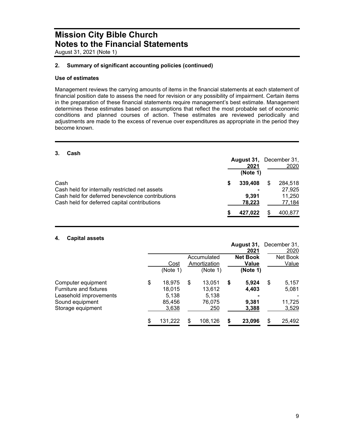August 31, 2021 (Note 1)

### **2. Summary of significant accounting policies (continued)**

#### **Use of estimates**

Management reviews the carrying amounts of items in the financial statements at each statement of financial position date to assess the need for revision or any possibility of impairment. Certain items in the preparation of these financial statements require management's best estimate. Management determines these estimates based on assumptions that reflect the most probable set of economic conditions and planned courses of action. These estimates are reviewed periodically and adjustments are made to the excess of revenue over expenditures as appropriate in the period they become known.

#### **3. Cash**

|                                                                                                                                                            | <b>August 31, December 31,</b><br>2021<br>(Note 1) | 2020                                  |
|------------------------------------------------------------------------------------------------------------------------------------------------------------|----------------------------------------------------|---------------------------------------|
| Cash<br>Cash held for internally restricted net assets<br>Cash held for deferred benevolence contributions<br>Cash held for deferred capital contributions | 339,408<br>9.391<br>78.223                         | 284.518<br>27,925<br>11.250<br>77,184 |
|                                                                                                                                                            | 427.022                                            | 400.877                               |

### **4. Capital assets**

|                        |               |    |              |    | August 31,      | December 31, |
|------------------------|---------------|----|--------------|----|-----------------|--------------|
|                        |               |    |              |    | 2021            | 2020         |
|                        |               |    | Accumulated  |    | <b>Net Book</b> | Net Book     |
|                        | Cost          |    | Amortization |    | Value           | <u>Value</u> |
|                        | (Note 1)      |    | (Note 1)     |    | (Note 1)        |              |
| Computer equipment     | \$<br>18,975  | \$ | 13,051       | \$ | 5.924           | \$<br>5,157  |
| Furniture and fixtures | 18.015        |    | 13,612       |    | 4,403           | 5,081        |
| Leasehold improvements | 5,138         |    | 5,138        |    |                 |              |
| Sound equipment        | 85,456        |    | 76,075       |    | 9,381           | 11,725       |
| Storage equipment      | 3,638         |    | 250          |    | 3,388           | 3,529        |
|                        | \$<br>131,222 | S  | 108.126      | S  | 23,096          | \$<br>25,492 |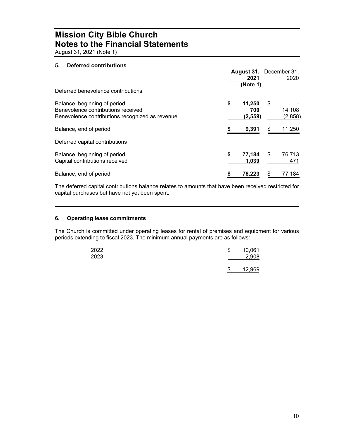August 31, 2021 (Note 1)

## **5. Deferred contributions**

|                                                                                                                       | August 31, December 31,<br>2021<br>(Note 1) |                           |    |                   |  |
|-----------------------------------------------------------------------------------------------------------------------|---------------------------------------------|---------------------------|----|-------------------|--|
| Deferred benevolence contributions                                                                                    |                                             |                           |    |                   |  |
| Balance, beginning of period<br>Benevolence contributions received<br>Benevolence contributions recognized as revenue | \$                                          | 11,250<br>700<br>(2, 559) | \$ | 14,108<br>(2,858) |  |
| Balance, end of period                                                                                                | \$                                          | 9,391                     | \$ | 11,250            |  |
| Deferred capital contributions                                                                                        |                                             |                           |    |                   |  |
| Balance, beginning of period<br>Capital contributions received                                                        | \$                                          | 77,184<br>1,039           | \$ | 76,713<br>471     |  |
| Balance, end of period                                                                                                | \$                                          | 78,223                    | \$ | 77,184            |  |

The deferred capital contributions balance relates to amounts that have been received restricted for capital purchases but have not yet been spent.

## **6. Operating lease commitments**

The Church is committed under operating leases for rental of premises and equipment for various periods extending to fiscal 2023. The minimum annual payments are as follows:

| 2022<br>2023 | \$<br>10,061<br>2,908 |
|--------------|-----------------------|
|              | \$<br>12,969          |